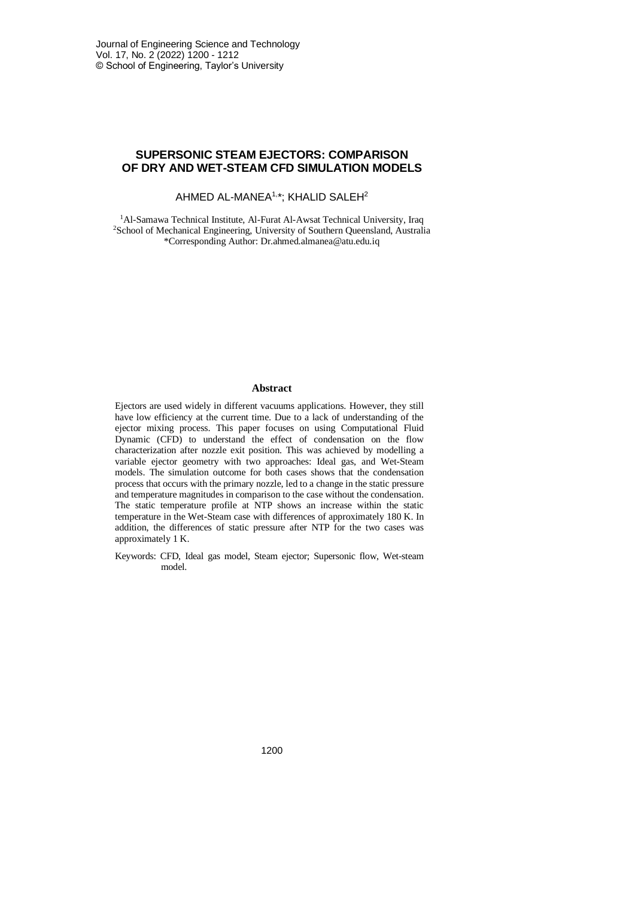# **SUPERSONIC STEAM EJECTORS: COMPARISON OF DRY AND WET-STEAM CFD SIMULATION MODELS**

## AHMED AL-MANEA<sup>1,\*</sup>; KHALID SALEH<sup>2</sup>

<sup>1</sup>Al-Samawa Technical Institute, Al-Furat Al-Awsat Technical University, Iraq <sup>2</sup>School of Mechanical Engineering, University of Southern Queensland, Australia \*Corresponding Author: Dr.ahmed.almanea@atu.edu.iq

#### **Abstract**

Ejectors are used widely in different vacuums applications. However, they still have low efficiency at the current time. Due to a lack of understanding of the ejector mixing process. This paper focuses on using Computational Fluid Dynamic (CFD) to understand the effect of condensation on the flow characterization after nozzle exit position. This was achieved by modelling a variable ejector geometry with two approaches: Ideal gas, and Wet-Steam models. The simulation outcome for both cases shows that the condensation process that occurs with the primary nozzle, led to a change in the static pressure and temperature magnitudes in comparison to the case without the condensation. The static temperature profile at NTP shows an increase within the static temperature in the Wet-Steam case with differences of approximately 180 K. In addition, the differences of static pressure after NTP for the two cases was approximately 1 K.

Keywords: CFD, Ideal gas model, Steam ejector; Supersonic flow, Wet-steam model.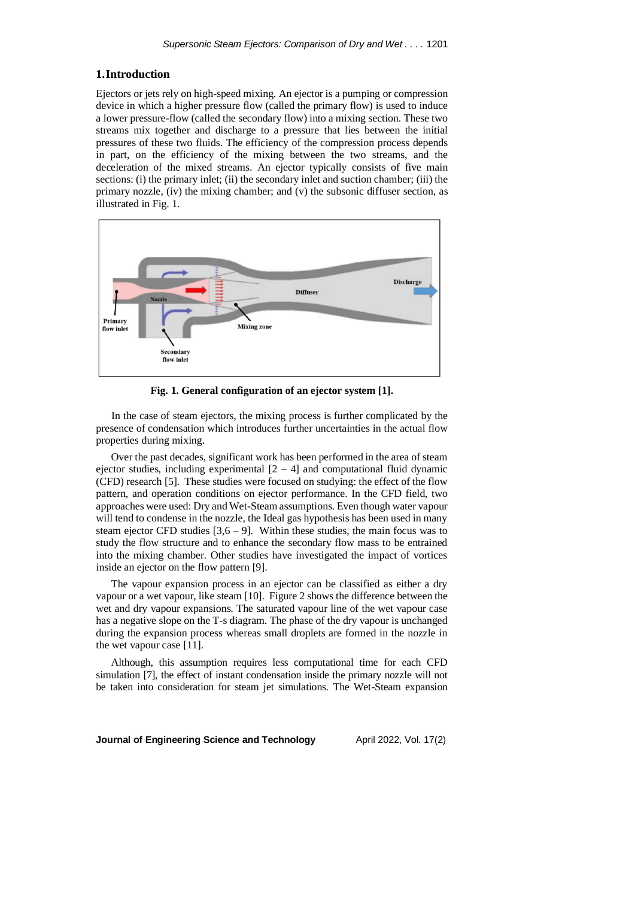#### **1.Introduction**

Ejectors or jets rely on high-speed mixing. An ejector is a pumping or compression device in which a higher pressure flow (called the primary flow) is used to induce a lower pressure-flow (called the secondary flow) into a mixing section. These two streams mix together and discharge to a pressure that lies between the initial pressures of these two fluids. The efficiency of the compression process depends in part, on the efficiency of the mixing between the two streams, and the deceleration of the mixed streams. An ejector typically consists of five main sections: (i) the primary inlet; (ii) the secondary inlet and suction chamber; (iii) the primary nozzle, (iv) the mixing chamber; and (v) the subsonic diffuser section, as illustrated in Fig. 1.



**Fig. 1. General configuration of an ejector system [1].**

In the case of steam ejectors, the mixing process is further complicated by the presence of condensation which introduces further uncertainties in the actual flow properties during mixing.

Over the past decades, significant work has been performed in the area of steam ejector studies, including experimental  $[2 - 4]$  and computational fluid dynamic (CFD) research [5]. These studies were focused on studying: the effect of the flow pattern, and operation conditions on ejector performance. In the CFD field, two approaches were used: Dry and Wet-Steam assumptions. Even though water vapour will tend to condense in the nozzle, the Ideal gas hypothesis has been used in many steam ejector CFD studies  $[3,6 - 9]$ . Within these studies, the main focus was to study the flow structure and to enhance the secondary flow mass to be entrained into the mixing chamber. Other studies have investigated the impact of vortices inside an ejector on the flow pattern [9].

The vapour expansion process in an ejector can be classified as either a dry vapour or a wet vapour, like steam [10]. Figure 2 shows the difference between the wet and dry vapour expansions. The saturated vapour line of the wet vapour case has a negative slope on the T-s diagram. The phase of the dry vapour is unchanged during the expansion process whereas small droplets are formed in the nozzle in the wet vapour case [11].

Although, this assumption requires less computational time for each CFD simulation [7], the effect of instant condensation inside the primary nozzle will not be taken into consideration for steam jet simulations. The Wet-Steam expansion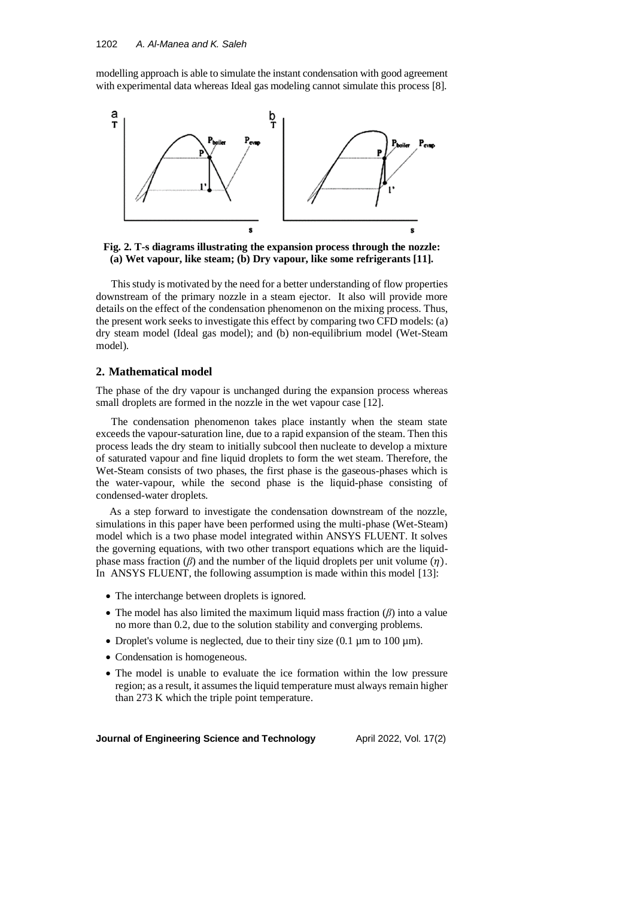modelling approach is able to simulate the instant condensation with good agreement with experimental data whereas Ideal gas modeling cannot simulate this process [8].



**Fig. 2. T-s diagrams illustrating the expansion process through the nozzle: (a) Wet vapour, like steam; (b) Dry vapour, like some refrigerants [11].**

This study is motivated by the need for a better understanding of flow properties downstream of the primary nozzle in a steam ejector. It also will provide more details on the effect of the condensation phenomenon on the mixing process. Thus, the present work seeks to investigate this effect by comparing two CFD models: (a) dry steam model (Ideal gas model); and (b) non-equilibrium model (Wet-Steam model).

#### **2. Mathematical model**

The phase of the dry vapour is unchanged during the expansion process whereas small droplets are formed in the nozzle in the wet vapour case [12].

The condensation phenomenon takes place instantly when the steam state exceeds the vapour-saturation line, due to a rapid expansion of the steam. Then this process leads the dry steam to initially subcool then nucleate to develop a mixture of saturated vapour and fine liquid droplets to form the wet steam. Therefore, the Wet-Steam consists of two phases, the first phase is the gaseous-phases which is the water-vapour, while the second phase is the liquid-phase consisting of condensed-water droplets.

 As a step forward to investigate the condensation downstream of the nozzle, simulations in this paper have been performed using the multi-phase (Wet-Steam) model which is a two phase model integrated within ANSYS FLUENT. It solves the governing equations, with two other transport equations which are the liquidphase mass fraction  $(\beta)$  and the number of the liquid droplets per unit volume  $(\eta)$ . In ANSYS FLUENT, the following assumption is made within this model [13]:

- The interchange between droplets is ignored.
- The model has also limited the maximum liquid mass fraction (*β*) into a value no more than 0.2, due to the solution stability and converging problems.
- Droplet's volume is neglected, due to their tiny size  $(0.1 \mu m)$  to  $100 \mu m$ ).
- Condensation is homogeneous.
- The model is unable to evaluate the ice formation within the low pressure region; as a result, it assumes the liquid temperature must always remain higher than 273 K which the triple point temperature.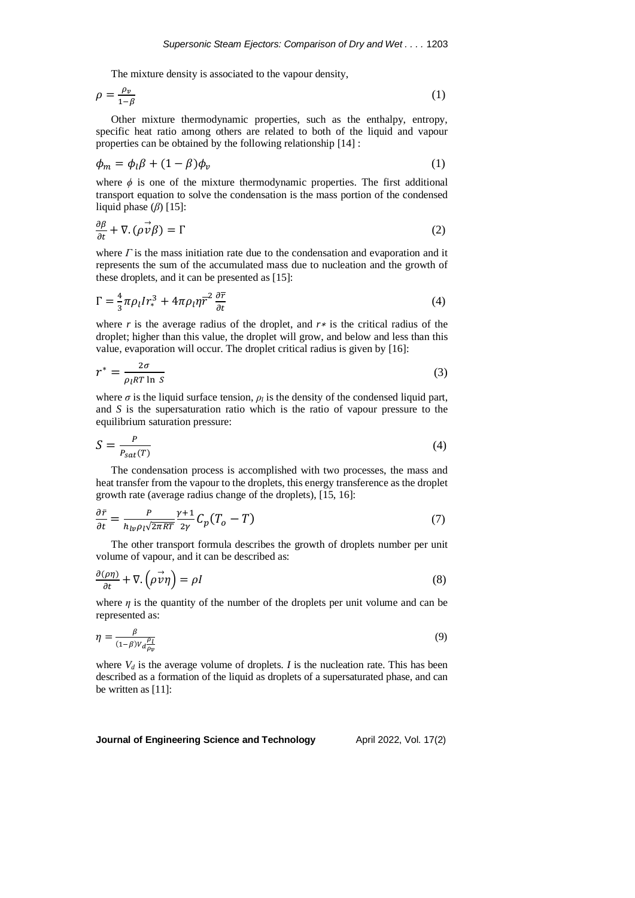The mixture density is associated to the vapour density,

$$
\rho = \frac{\rho_v}{1 - \beta} \tag{1}
$$

Other mixture thermodynamic properties, such as the enthalpy, entropy, specific heat ratio among others are related to both of the liquid and vapour properties can be obtained by the following relationship [14] :

$$
\phi_m = \phi_l \beta + (1 - \beta) \phi_v \tag{1}
$$

where  $\phi$  is one of the mixture thermodynamic properties. The first additional transport equation to solve the condensation is the mass portion of the condensed liquid phase (*β*) [15]:

$$
\frac{\partial \beta}{\partial t} + \nabla \cdot (\rho \vec{v} \beta) = \Gamma \tag{2}
$$

where *Γ* is the mass initiation rate due to the condensation and evaporation and it represents the sum of the accumulated mass due to nucleation and the growth of these droplets, and it can be presented as [15]:

$$
\Gamma = \frac{4}{3}\pi \rho_l I r_*^3 + 4\pi \rho_l \eta \overline{r}^2 \frac{\partial \overline{r}}{\partial t}
$$
\n<sup>(4)</sup>

where *r* is the average radius of the droplet, and *r*<sup>∗</sup> is the critical radius of the droplet; higher than this value, the droplet will grow, and below and less than this value, evaporation will occur. The droplet critical radius is given by [16]:

$$
r^* = \frac{2\sigma}{\rho_l RT \ln S} \tag{3}
$$

where  $\sigma$  is the liquid surface tension,  $\rho_l$  is the density of the condensed liquid part, and *S* is the supersaturation ratio which is the ratio of vapour pressure to the equilibrium saturation pressure:

$$
S = \frac{P}{P_{sat}(T)}\tag{4}
$$

The condensation process is accomplished with two processes, the mass and heat transfer from the vapour to the droplets, this energy transference as the droplet growth rate (average radius change of the droplets), [15, 16]:

$$
\frac{\partial \bar{r}}{\partial t} = \frac{P}{h_{lp}\rho_l \sqrt{2\pi RT}} \frac{\gamma + 1}{2\gamma} C_p (T_o - T) \tag{7}
$$

The other transport formula describes the growth of droplets number per unit volume of vapour, and it can be described as:

$$
\frac{\partial(\rho\eta)}{\partial t} + \nabla \cdot \left(\rho \vec{\nu} \eta\right) = \rho I \tag{8}
$$

where  $\eta$  is the quantity of the number of the droplets per unit volume and can be represented as:

$$
\eta = \frac{\beta}{(1-\beta)V_d \frac{\rho_l}{\rho_v}}\tag{9}
$$

where  $V_d$  is the average volume of droplets. *I* is the nucleation rate. This has been described as a formation of the liquid as droplets of a supersaturated phase, and can be written as [11]: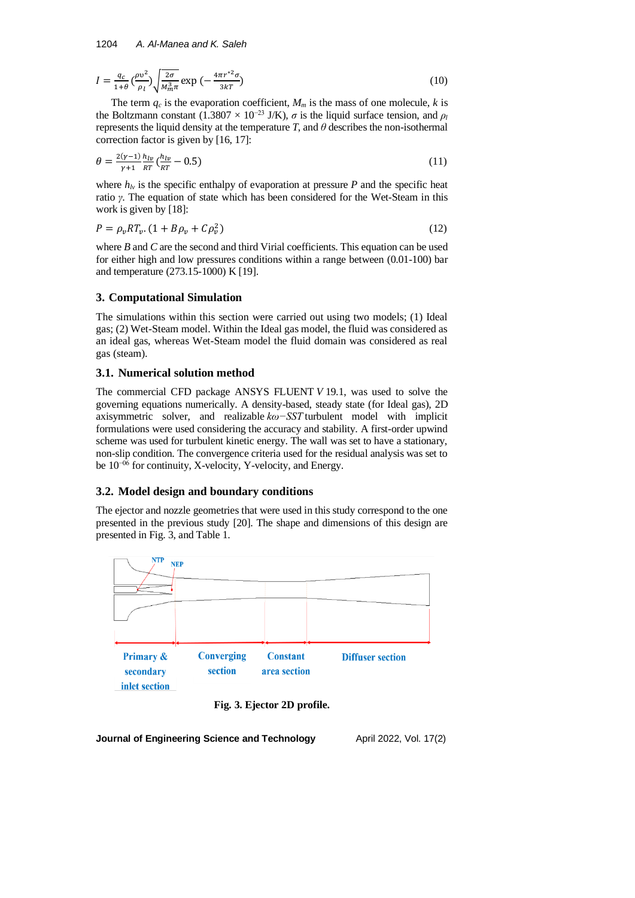$$
I = \frac{q_c}{1+\theta} \left(\frac{\rho v^2}{\rho_l}\right) \sqrt{\frac{2\sigma}{M_m^3 \pi}} \exp\left(-\frac{4\pi r^{*2} \sigma}{3k} \right) \tag{10}
$$

The term  $q_c$  is the evaporation coefficient,  $M_m$  is the mass of one molecule, k is the Boltzmann constant (1.3807 × 10<sup>-23</sup> J/K),  $\sigma$  is the liquid surface tension, and  $\rho_l$ represents the liquid density at the temperature  $T$ , and  $\theta$  describes the non-isothermal correction factor is given by [16, 17]:

$$
\theta = \frac{2(\gamma - 1)}{\gamma + 1} \frac{h_{lv}}{RT} \left( \frac{h_{lv}}{RT} - 0.5 \right) \tag{11}
$$

where  $h_{lv}$  is the specific enthalpy of evaporation at pressure *P* and the specific heat ratio *γ*. The equation of state which has been considered for the Wet-Steam in this work is given by [18]:

$$
P = \rho_v RT_v \cdot (1 + B\rho_v + C\rho_v^2) \tag{12}
$$

where *B* and *C* are the second and third Virial coefficients. This equation can be used for either high and low pressures conditions within a range between (0.01-100) bar and temperature (273.15-1000) K [19].

#### **3. Computational Simulation**

The simulations within this section were carried out using two models; (1) Ideal gas; (2) Wet-Steam model. Within the Ideal gas model, the fluid was considered as an ideal gas, whereas Wet-Steam model the fluid domain was considered as real gas (steam).

#### **3.1. Numerical solution method**

The commercial CFD package ANSYS FLUENT *V* 19.1, was used to solve the governing equations numerically. A density-based, steady state (for Ideal gas), 2D axisymmetric solver, and realizable *kω−SST* turbulent model with implicit formulations were used considering the accuracy and stability. A first-order upwind scheme was used for turbulent kinetic energy. The wall was set to have a stationary, non-slip condition. The convergence criteria used for the residual analysis was set to be 10<sup>-06</sup> for continuity, X-velocity, Y-velocity, and Energy.

#### **3.2. Model design and boundary conditions**

The ejector and nozzle geometries that were used in this study correspond to the one presented in the previous study [20]. The shape and dimensions of this design are presented in Fig. 3, and Table 1.



**Fig. 3. Ejector 2D profile.**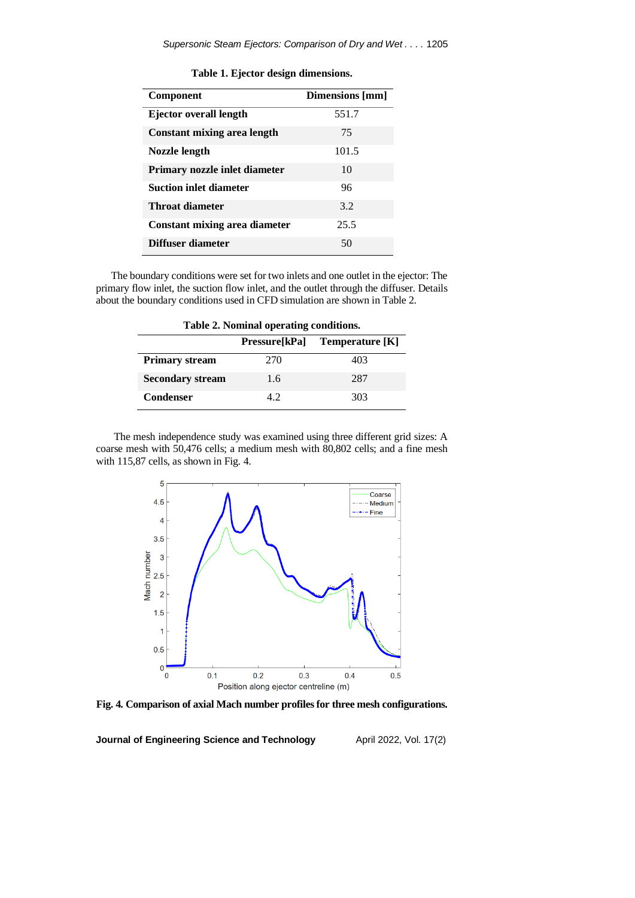| <b>Component</b>                     | Dimensions [mm] |
|--------------------------------------|-----------------|
| Ejector overall length               | 551.7           |
| <b>Constant mixing area length</b>   | 75              |
| Nozzle length                        | 101.5           |
| Primary nozzle inlet diameter        | 10              |
| <b>Suction inlet diameter</b>        | 96              |
| <b>Throat diameter</b>               | 3.2             |
| <b>Constant mixing area diameter</b> | 25.5            |
| Diffuser diameter                    | 50              |

**Table 1. Ejector design dimensions.**

The boundary conditions were set for two inlets and one outlet in the ejector: The primary flow inlet, the suction flow inlet, and the outlet through the diffuser. Details about the boundary conditions used in CFD simulation are shown in Table 2.

| Table 2. Nominal operating conditions. |     |                               |
|----------------------------------------|-----|-------------------------------|
|                                        |     | Pressure[kPa] Temperature [K] |
| <b>Primary stream</b>                  | 270 | 403                           |
| <b>Secondary stream</b>                | 1.6 | 287                           |
| <b>Condenser</b>                       | 42  | 303                           |

 The mesh independence study was examined using three different grid sizes: A coarse mesh with 50,476 cells; a medium mesh with 80,802 cells; and a fine mesh with 115,87 cells, as shown in Fig. 4.



**Fig. 4. Comparison of axial Mach number profilesfor three mesh configurations.**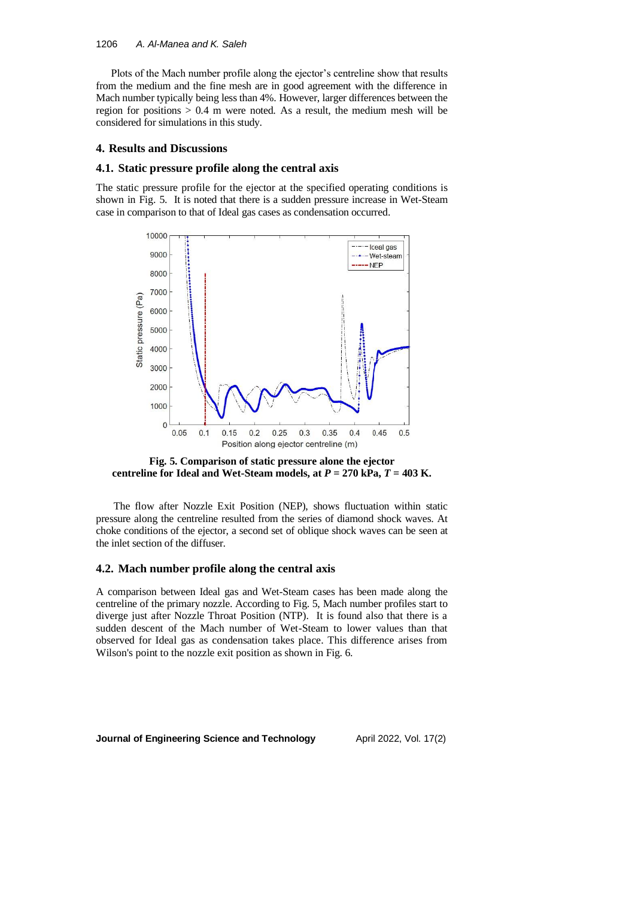#### 1206 *A. Al-Manea and K. Saleh*

Plots of the Mach number profile along the ejector's centreline show that results from the medium and the fine mesh are in good agreement with the difference in Mach number typically being less than 4%. However, larger differences between the region for positions  $> 0.4$  m were noted. As a result, the medium mesh will be considered for simulations in this study.

#### **4. Results and Discussions**

### **4.1. Static pressure profile along the central axis**

The static pressure profile for the ejector at the specified operating conditions is shown in Fig. 5. It is noted that there is a sudden pressure increase in Wet-Steam case in comparison to that of Ideal gas cases as condensation occurred.



**Fig. 5. Comparison of static pressure alone the ejector centreline** for **Ideal** and **Wet-Steam** models, at  $P = 270$  kPa,  $T = 403$  K.

The flow after Nozzle Exit Position (NEP), shows fluctuation within static pressure along the centreline resulted from the series of diamond shock waves. At choke conditions of the ejector, a second set of oblique shock waves can be seen at the inlet section of the diffuser.

#### **4.2. Mach number profile along the central axis**

A comparison between Ideal gas and Wet-Steam cases has been made along the centreline of the primary nozzle. According to Fig. 5, Mach number profiles start to diverge just after Nozzle Throat Position (NTP). It is found also that there is a sudden descent of the Mach number of Wet-Steam to lower values than that observed for Ideal gas as condensation takes place. This difference arises from Wilson's point to the nozzle exit position as shown in Fig. 6.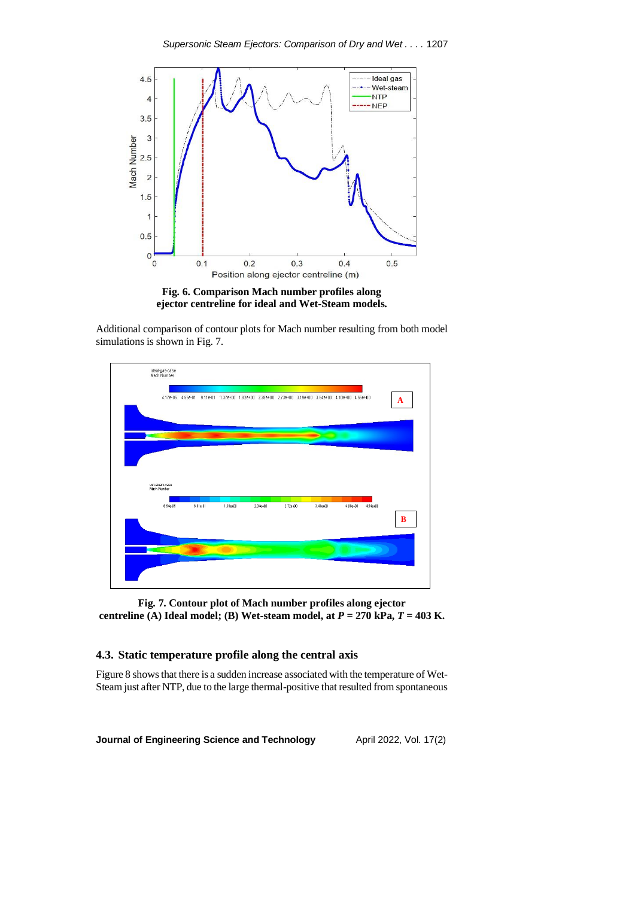

**ejector centreline for ideal and Wet-Steam models.**

Additional comparison of contour plots for Mach number resulting from both model simulations is shown in Fig. 7.



**Fig. 7. Contour plot of Mach number profiles along ejector centreline**  $(A)$  **Ideal model;**  $(B)$  **Wet-steam model,**  $\text{at } P = 270$  **kPa,**  $T = 403$ **K.** 

## **4.3. Static temperature profile along the central axis**

Figure 8 showsthat there is a sudden increase associated with the temperature of Wet-Steam just after NTP, due to the large thermal-positive that resulted from spontaneous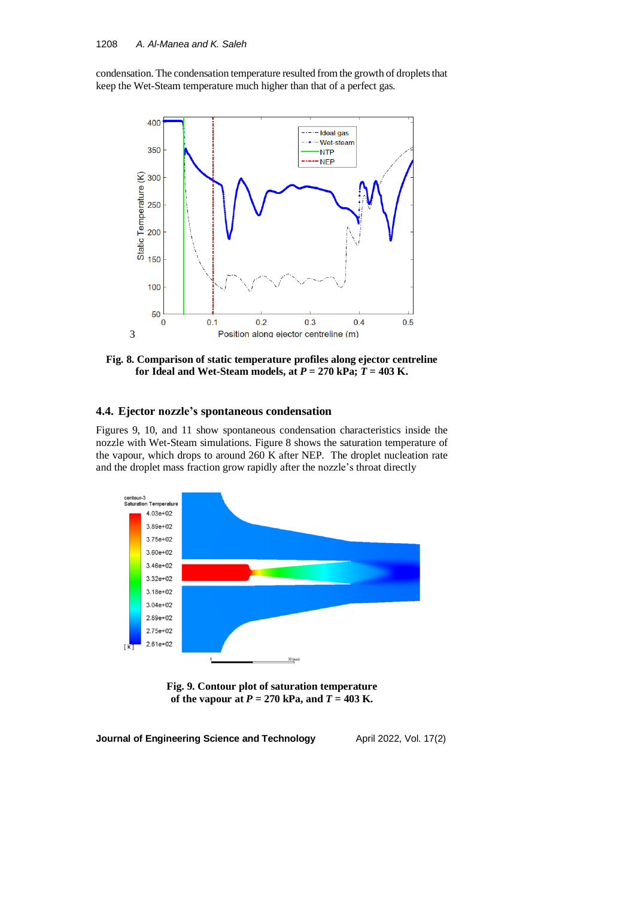condensation. The condensation temperature resulted from the growth of droplets that keep the Wet-Steam temperature much higher than that of a perfect gas.



**Fig. 8. Comparison of static temperature profiles along ejector centreline for Ideal** and Wet-Steam models, at  $P = 270$  kPa;  $T = 403$  K.

#### **4.4. Ejector nozzle's spontaneous condensation**

Figures 9, 10, and 11 show spontaneous condensation characteristics inside the nozzle with Wet-Steam simulations. Figure 8 shows the saturation temperature of the vapour, which drops to around 260 K after NEP. The droplet nucleation rate and the droplet mass fraction grow rapidly after the nozzle's throat directly



**Fig. 9. Contour plot of saturation temperature of** the vapour at  $P = 270$  kPa, and  $T = 403$  K.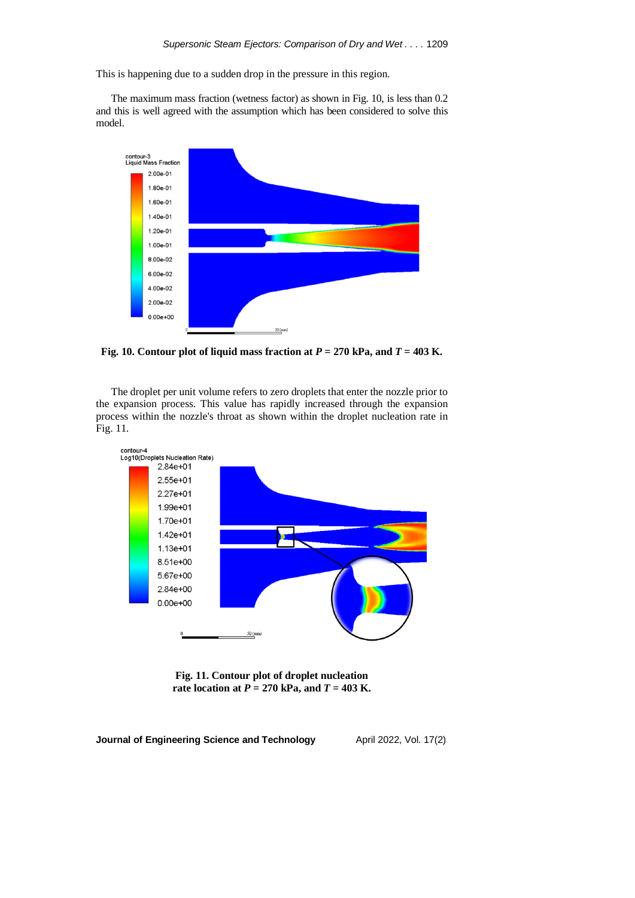This is happening due to a sudden drop in the pressure in this region.

The maximum mass fraction (wetness factor) as shown in Fig. 10, is less than 0.2 and this is well agreed with the assumption which has been considered to solve this model.



**Fig. 10. Contour plot** of **liquid** mass fraction at  $P = 270$  kPa, and  $T = 403$  K.

The droplet per unit volume refers to zero droplets that enter the nozzle prior to the expansion process. This value has rapidly increased through the expansion process within the nozzle's throat as shown within the droplet nucleation rate in Fig. 11.



**Fig. 11. Contour plot of droplet nucleation rate location** at  $P = 270$  **kPa,** and  $T = 403$  **K.**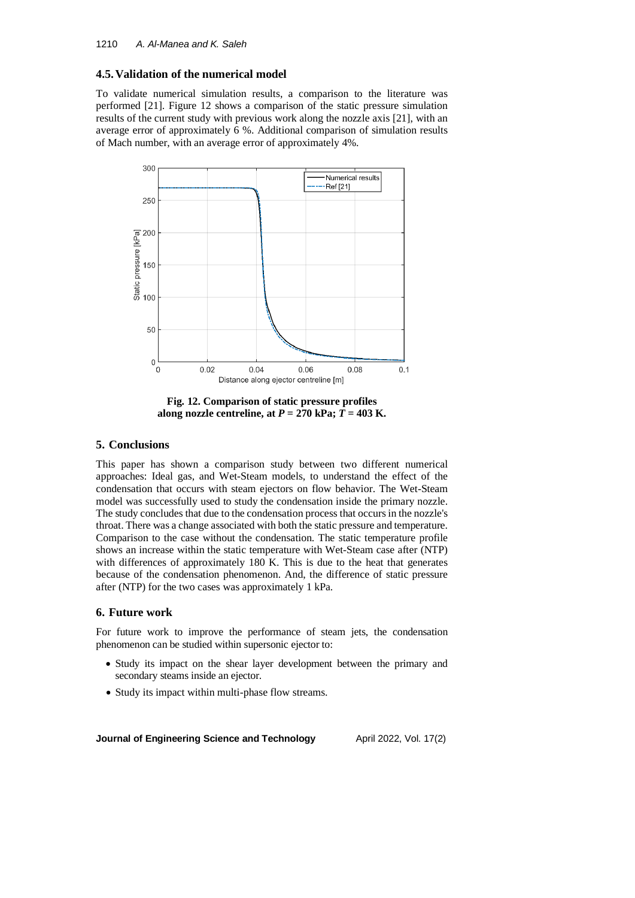#### **4.5.Validation of the numerical model**

To validate numerical simulation results, a comparison to the literature was performed [21]. Figure 12 shows a comparison of the static pressure simulation results of the current study with previous work along the nozzle axis [21], with an average error of approximately 6 %. Additional comparison of simulation results of Mach number, with an average error of approximately 4%.



**Fig. 12. Comparison of static pressure profiles along nozzle centreline, at** *P* **= 270 kPa;** *T* **= 403 K.**

#### **5. Conclusions**

This paper has shown a comparison study between two different numerical approaches: Ideal gas, and Wet-Steam models, to understand the effect of the condensation that occurs with steam ejectors on flow behavior. The Wet-Steam model was successfully used to study the condensation inside the primary nozzle. The study concludes that due to the condensation process that occursin the nozzle's throat. There was a change associated with both the static pressure and temperature. Comparison to the case without the condensation. The static temperature profile shows an increase within the static temperature with Wet-Steam case after (NTP) with differences of approximately 180 K. This is due to the heat that generates because of the condensation phenomenon. And, the difference of static pressure after (NTP) for the two cases was approximately 1 kPa.

#### **6. Future work**

For future work to improve the performance of steam jets, the condensation phenomenon can be studied within supersonic ejector to:

- Study its impact on the shear layer development between the primary and secondary steams inside an ejector.
- Study its impact within multi-phase flow streams.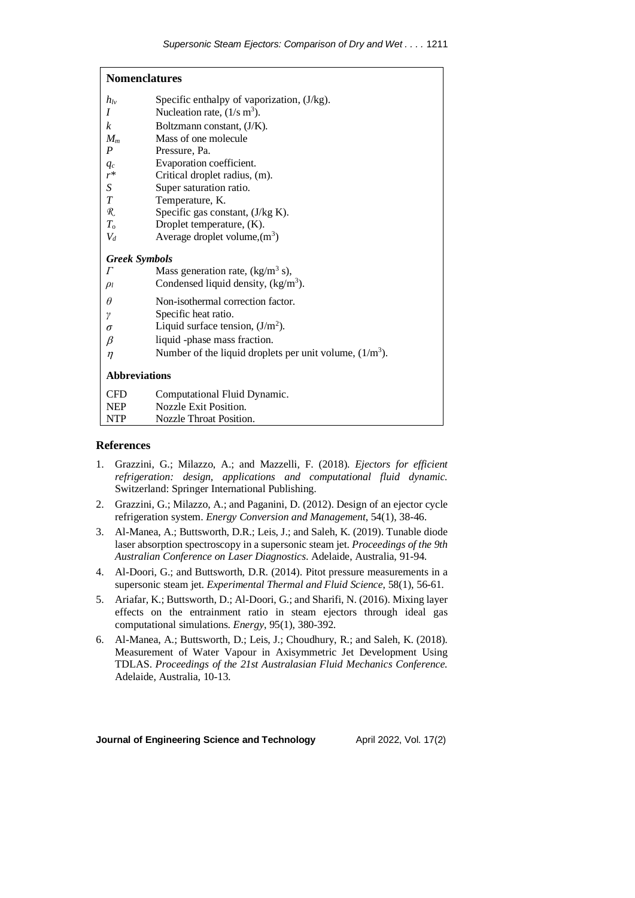| <b>Nomenclatures</b> |                                                           |  |
|----------------------|-----------------------------------------------------------|--|
| $h_{lv}$             | Specific enthalpy of vaporization, (J/kg).                |  |
| I                    | Nucleation rate, $(1/\text{s m}^3)$ .                     |  |
| k                    | Boltzmann constant, (J/K).                                |  |
| $M_{m}$              | Mass of one molecule                                      |  |
| $\boldsymbol{P}$     | Pressure, Pa.                                             |  |
| $q_c$                | Evaporation coefficient.                                  |  |
| $r^*$                | Critical droplet radius, (m).                             |  |
| S                    | Super saturation ratio.                                   |  |
| T                    | Temperature, K.                                           |  |
| $\mathcal{R}$ .      | Specific gas constant, (J/kg K).                          |  |
| $T_{\rm o}$          | Droplet temperature, (K).                                 |  |
| $V_d$                | Average droplet volume, $(m^3)$                           |  |
| <b>Greek Symbols</b> |                                                           |  |
| Г                    | Mass generation rate, $(kg/m^3 s)$ ,                      |  |
| $\rho_l$             | Condensed liquid density, (kg/m <sup>3</sup> ).           |  |
| θ                    | Non-isothermal correction factor.                         |  |
| γ                    | Specific heat ratio.                                      |  |
| σ                    | Liquid surface tension, $(J/m2)$ .                        |  |
| β                    | liquid -phase mass fraction.                              |  |
| $\eta$               | Number of the liquid droplets per unit volume, $(1/m3)$ . |  |
| <b>Abbreviations</b> |                                                           |  |
| <b>CFD</b>           | Computational Fluid Dynamic.                              |  |
| <b>NEP</b>           | <b>Nozzle Exit Position.</b>                              |  |
| NTP                  | <b>Nozzle Throat Position.</b>                            |  |

## **References**

- 1. Grazzini, G.; Milazzo, A.; and Mazzelli, F. (2018). *Ejectors for efficient refrigeration: design, applications and computational fluid dynamic.* Switzerland: Springer International Publishing.
- 2. Grazzini, G.; Milazzo, A.; and Paganini, D. (2012). Design of an ejector cycle refrigeration system. *Energy Conversion and Management*, 54(1), 38-46.
- 3. Al-Manea, A.; Buttsworth, D.R.; Leis, J.; and Saleh, K. (2019). Tunable diode laser absorption spectroscopy in a supersonic steam jet. *Proceedings of the 9th Australian Conference on Laser Diagnostics*. Adelaide, Australia, 91-94.
- 4. Al-Doori, G.; and Buttsworth, D.R. (2014). Pitot pressure measurements in a supersonic steam jet. *Experimental Thermal and Fluid Science*, 58(1), 56-61.
- 5. Ariafar, K.; Buttsworth, D.; Al-Doori, G.; and Sharifi, N. (2016). Mixing layer effects on the entrainment ratio in steam ejectors through ideal gas computational simulations. *Energy*, 95(1), 380-392.
- 6. Al-Manea, A.; Buttsworth, D.; Leis, J.; Choudhury, R.; and Saleh, K. (2018). Measurement of Water Vapour in Axisymmetric Jet Development Using TDLAS. *Proceedings of the 21st Australasian Fluid Mechanics Conference.* Adelaide, Australia, 10-13.